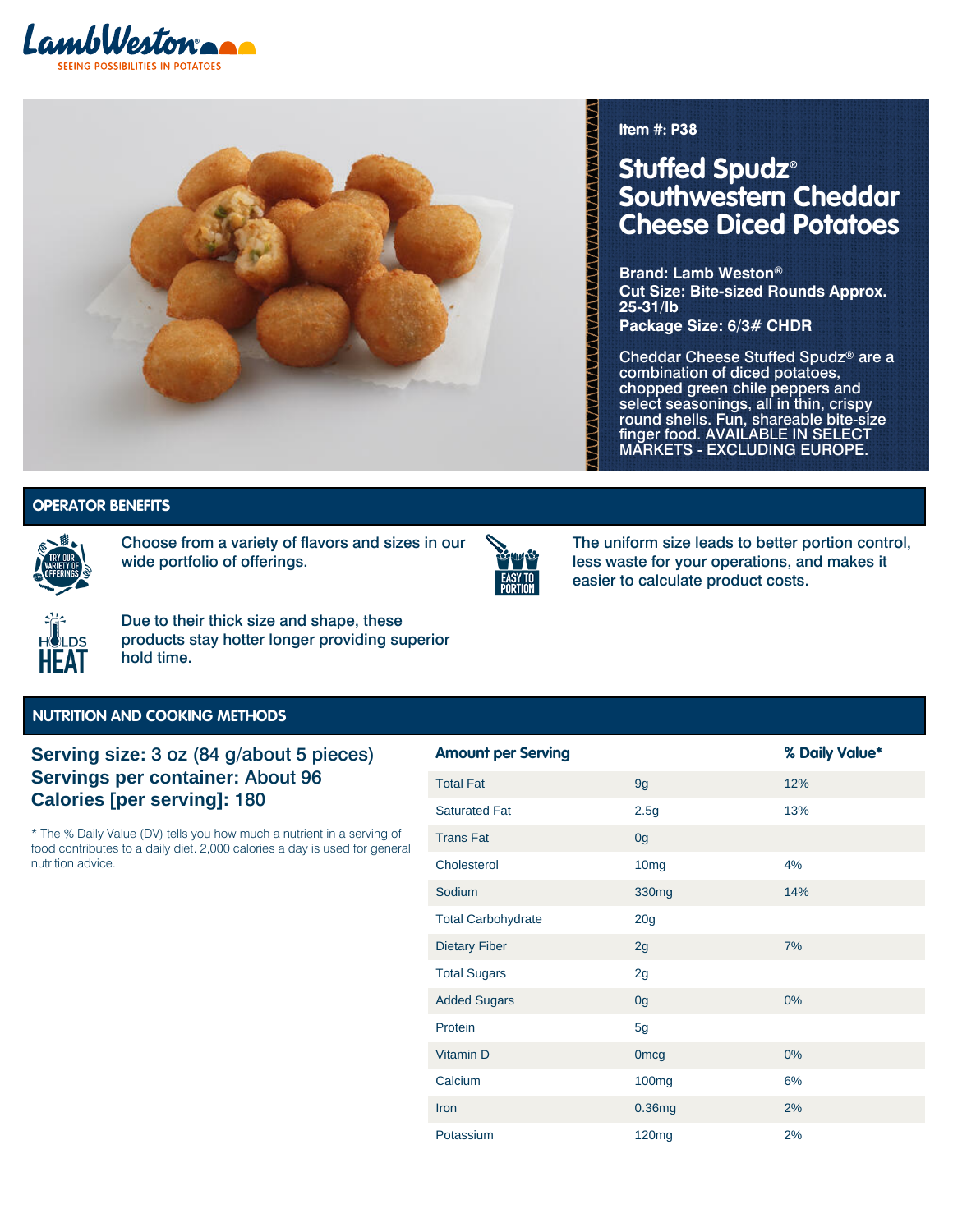



**Item #: P38**

# **Stuffed Spudz® Southwestern Cheddar Cheese Diced Potatoes**

**Brand: Lamb Weston® Cut Size: Bite-sized Rounds Approx. 25-31/lb**

**Package Size: 6/3# CHDR**

Cheddar Cheese Stuffed Spudz® are a combination of diced potatoes, chopped green chile peppers and select seasonings, all in thin, crispy round shells. Fun, shareable bite-size finger food. AVAILABLE IN SELECT MARKETS - EXCLUDING EUROPE.

Variety of Offerings | Easy to Portion | **Variety of Offerings | Easy to Portion |**

### **HOPERATOR BENEFITS**



Choose from a variety of flavors and sizes in our wide portfolio of offerings.



The uniform size leads to better portion control, less waste for your operations, and makes it easier to calculate product costs.



Due to their thick size and shape, these products stay hotter longer providing superior hold time.

#### **NUTRITION AND COOKING METHODS**

## **Serving size:** 3 oz (84 g/about 5 pieces) **Servings per container:** About 96 **Calories [per serving]:** 180

\* The % Daily Value (DV) tells you how much a nutrient in a serving of food contributes to a daily diet. 2,000 calories a day is used for general nutrition advice.

| <b>Amount per Serving</b> |                   | % Daily Value* |
|---------------------------|-------------------|----------------|
| <b>Total Fat</b>          | 9g                | 12%            |
| <b>Saturated Fat</b>      | 2.5g              | 13%            |
| <b>Trans Fat</b>          | 0 <sub>g</sub>    |                |
| Cholesterol               | 10 <sub>mg</sub>  | 4%             |
| Sodium                    | 330 <sub>mg</sub> | 14%            |
| <b>Total Carbohydrate</b> | 20 <sub>g</sub>   |                |
| <b>Dietary Fiber</b>      | 2g                | 7%             |
| <b>Total Sugars</b>       | 2g                |                |
| <b>Added Sugars</b>       | 0g                | $0\%$          |
| Protein                   | 5g                |                |
| Vitamin D                 | <b>Omcg</b>       | $0\%$          |
| Calcium                   | 100 <sub>mg</sub> | 6%             |
| Iron                      | 0.36mg            | 2%             |
| Potassium                 | 120 <sub>mg</sub> | 2%             |